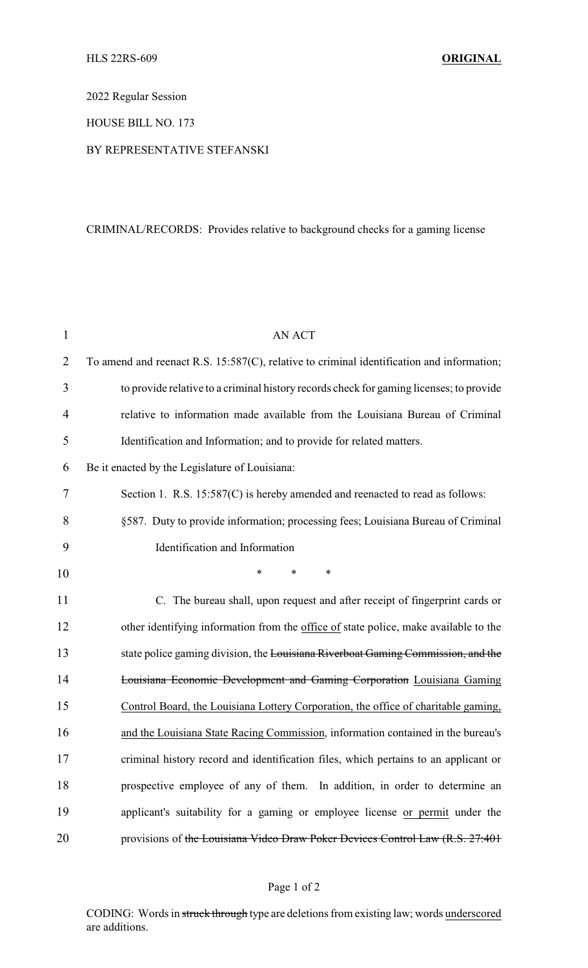2022 Regular Session

HOUSE BILL NO. 173

### BY REPRESENTATIVE STEFANSKI

# CRIMINAL/RECORDS: Provides relative to background checks for a gaming license

| $\mathbf{1}$   | <b>AN ACT</b>                                                                             |
|----------------|-------------------------------------------------------------------------------------------|
| $\overline{2}$ | To amend and reenact R.S. 15:587(C), relative to criminal identification and information; |
| 3              | to provide relative to a criminal history records check for gaming licenses; to provide   |
| $\overline{4}$ | relative to information made available from the Louisiana Bureau of Criminal              |
| 5              | Identification and Information; and to provide for related matters.                       |
| 6              | Be it enacted by the Legislature of Louisiana:                                            |
| 7              | Section 1. R.S. 15:587(C) is hereby amended and reenacted to read as follows:             |
| 8              | §587. Duty to provide information; processing fees; Louisiana Bureau of Criminal          |
| 9              | Identification and Information                                                            |
| 10             | *<br>$\ast$<br>*                                                                          |
| 11             | C. The bureau shall, upon request and after receipt of fingerprint cards or               |
| 12             | other identifying information from the office of state police, make available to the      |
| 13             | state police gaming division, the Louisiana Riverboat Gaming Commission, and the          |
| 14             | Louisiana Economic Development and Gaming Corporation Louisiana Gaming                    |
| 15             | Control Board, the Louisiana Lottery Corporation, the office of charitable gaming,        |
| 16             | and the Louisiana State Racing Commission, information contained in the bureau's          |
| 17             | criminal history record and identification files, which pertains to an applicant or       |
| 18             | prospective employee of any of them. In addition, in order to determine an                |
| 19             | applicant's suitability for a gaming or employee license or permit under the              |
| 20             | provisions of the Louisiana Video Draw Poker Devices Control Law (R.S. 27:401)            |

# Page 1 of 2

CODING: Words in struck through type are deletions from existing law; words underscored are additions.